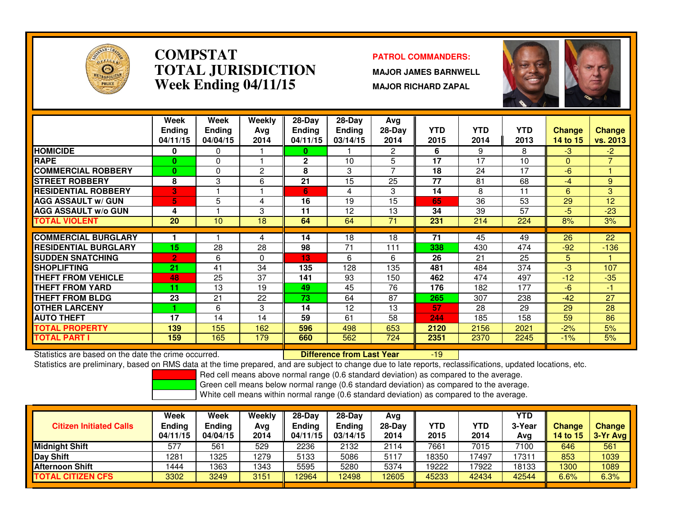

### **COMPSTATPATROL COMMANDERS:**<br> **PATROL COMMANDERS TOTAL JURISDICTIONWeek Ending 04/11/15**

 **MAJOR JAMES BARNWELL MAJOR RICHARD ZAPAL**



|                             | Week           | Week            | Weekly         | $28-Day$      | $28-Day$          | Avg      |            |            |            |               |                 |
|-----------------------------|----------------|-----------------|----------------|---------------|-------------------|----------|------------|------------|------------|---------------|-----------------|
|                             | <b>Ending</b>  | <b>Ending</b>   | Ava            | <b>Ending</b> | <b>Ending</b>     | $28-Day$ | <b>YTD</b> | <b>YTD</b> | <b>YTD</b> | <b>Change</b> | Change          |
|                             | 04/11/15       | 04/04/15        | 2014           | 04/11/15      | 03/14/15          | 2014     | 2015       | 2014       | 2013       | 14 to 15      | <b>vs. 2013</b> |
| <b>HOMICIDE</b>             | $\bf{0}$       | 0               |                | 0             |                   | 2        | 6          | 9          | 8          | $-3$          | $-2$            |
| <b>RAPE</b>                 | 0              | 0               |                | $\mathbf{2}$  | 10                | 5        | 17         | 17         | 10         | $\Omega$      | $\overline{7}$  |
| <b>COMMERCIAL ROBBERY</b>   | 0              | 0               | $\overline{2}$ | 8             | 3                 | 7        | 18         | 24         | 17         | -6            |                 |
| <b>ISTREET ROBBERY</b>      | 8              | 3               | 6              | 21            | 15                | 25       | 77         | 81         | 68         | $-4$          | 9               |
| <b>RESIDENTIAL ROBBERY</b>  | 3              |                 |                | 6             | 4                 | 3        | 14         | 8          | 11         | 6             | 3               |
| <b>AGG ASSAULT w/ GUN</b>   | 5              | 5               | 4              | 16            | 19                | 15       | 65         | 36         | 53         | 29            | 12              |
| <b>AGG ASSAULT w/o GUN</b>  | 4              |                 | 3              | 11            | 12                | 13       | 34         | 39         | 57         | $-5$          | $-23$           |
| <b>TOTAL VIOLENT</b>        | 20             | 10 <sup>1</sup> | 18             | 64            | 64                | 71       | 231        | 214        | 224        | 8%            | 3%              |
|                             |                |                 |                |               |                   |          |            |            |            |               |                 |
| <b>COMMERCIAL BURGLARY</b>  |                |                 | 4              | 14            | 18                | 18       | 71         | 45         | 49         | 26            | 22              |
| <b>RESIDENTIAL BURGLARY</b> | 15             | 28              | 28             | 98            | 71                | 111      | 338        | 430        | 474        | $-92$         | $-136$          |
| <b>ISUDDEN SNATCHING</b>    | $\overline{2}$ | 6               | $\Omega$       | 13            | 6                 | 6        | 26         | 21         | 25         | 5.            | 1.              |
| <b>SHOPLIFTING</b>          | 21             | 41              | 34             | 135           | 128               | 135      | 481        | 484        | 374        | $-3$          | 107             |
| <b>THEFT FROM VEHICLE</b>   | 48             | 25              | 37             | 141           | 93                | 150      | 462        | 474        | 497        | $-12$         | $-35$           |
| <b>THEFT FROM YARD</b>      | 11             | 13              | 19             | 49            | 45                | 76       | 176        | 182        | 177        | $-6$          | -1              |
| <b>THEFT FROM BLDG</b>      | 23             | 21              | 22             | 73            | 64                | 87       | 265        | 307        | 238        | $-42$         | 27              |
| <b>OTHER LARCENY</b>        |                | 6               | 3              | 14            | $12 \overline{ }$ | 13       | 57         | 28         | 29         | 29            | 28              |
| <b>AUTO THEFT</b>           | 17             | 14              | 14             | 59            | 61                | 58       | 244        | 185        | 158        | 59            | 86              |
| <b>TOTAL PROPERTY</b>       | 139            | 155             | 162            | 596           | 498               | 653      | 2120       | 2156       | 2021       | $-2%$         | 5%              |
| <b>TOTAL PART I</b>         | 159            | 165             | 179            | 660           | 562               | 724      | 2351       | 2370       | 2245       | $-1\%$        | 5%              |

Statistics are based on the date the crime occurred. **Difference from Last Year** 

Statistics are based on the date the crime occurred. **[19] Letter Lubber 19 and Late Year** [19] Statistics are based on the date time occurred.<br>Statistics are preliminary, based on RMS data at the time prepared, and are su

Red cell means above normal range (0.6 standard deviation) as compared to the average.

Green cell means below normal range (0.6 standard deviation) as compared to the average.

| <b>Citizen Initiated Calls</b> | Week<br><b>Ending</b><br>04/11/15 | <b>Week</b><br><b>Ending</b><br>04/04/15 | Weekly<br>Avg<br>2014 | $28 - Day$<br>Ending<br>04/11/15 | $28-Day$<br>Ending<br>03/14/15 | Avg<br>$28-Day$<br>2014 | YTD<br>2015 | YTD<br>2014 | YTD<br>3-Year<br>Avg | <b>Change</b><br>14 to 15 | <b>Change</b><br>3-Yr Avg |
|--------------------------------|-----------------------------------|------------------------------------------|-----------------------|----------------------------------|--------------------------------|-------------------------|-------------|-------------|----------------------|---------------------------|---------------------------|
| Midnight Shift                 | 577                               | 561                                      | 529                   | 2236                             | 2132                           | 2114                    | 7661        | 7015        | 7100                 | 646                       | 561                       |
| Day Shift                      | 1281                              | 1325                                     | 1279                  | 5133                             | 5086                           | 5117                    | 18350       | 17497       | 1731 <sup>.</sup>    | 853                       | 1039                      |
| <b>Afternoon Shift</b>         | 1444                              | 1363                                     | 1343                  | 5595                             | 5280                           | 5374                    | 19222       | 17922       | 18133                | 1300                      | 1089                      |
| <b>TOTAL CITIZEN CFS</b>       | 3302                              | 3249                                     | 3151                  | 12964                            | 12498                          | 12605                   | 45233       | 42434       | 42544                | 6.6%                      | 6.3%                      |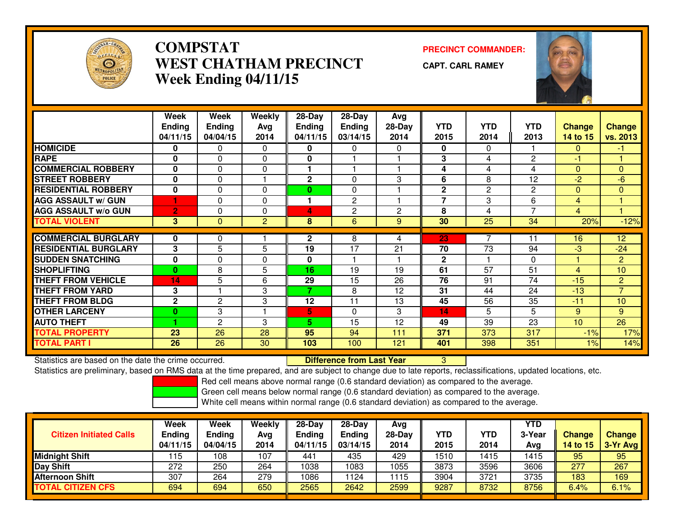

## **COMPSTAT PRECINCT COMMANDER: WEST CHATHAM PRECINCTWeek Ending 04/11/15**

**CAPT. CARL RAMEY**



|                             | Week<br><b>Ending</b><br>04/11/15 | Week<br><b>Ending</b><br>04/04/15 | Weekly<br>Avg<br>2014 | 28-Day<br><b>Ending</b><br>04/11/15 | 28-Day<br><b>Ending</b><br>03/14/15 | Avg<br>$28-Dav$<br>2014 | <b>YTD</b><br>2015 | <b>YTD</b><br>2014 | <b>YTD</b><br>2013 | <b>Change</b><br>14 to 15 | <b>Change</b><br>vs. 2013 |
|-----------------------------|-----------------------------------|-----------------------------------|-----------------------|-------------------------------------|-------------------------------------|-------------------------|--------------------|--------------------|--------------------|---------------------------|---------------------------|
| <b>HOMICIDE</b>             | 0                                 | 0                                 | $\Omega$              | 0                                   | 0                                   | $\Omega$                | $\mathbf{0}$       | 0                  |                    | 0                         | -1                        |
| <b>RAPE</b>                 | 0                                 | 0                                 | $\Omega$              | 0                                   |                                     |                         | 3                  | 4                  | $\overline{c}$     | -1                        |                           |
| <b>COMMERCIAL ROBBERY</b>   | 0                                 | $\Omega$                          | $\Omega$              |                                     |                                     |                         | 4                  | 4                  | 4                  | $\Omega$                  | $\mathbf{0}$              |
| <b>STREET ROBBERY</b>       | $\bf{0}$                          | $\Omega$                          |                       | $\mathbf{2}$                        | $\Omega$                            | 3                       | 6                  | 8                  | 12                 | $-2$                      | $-6$                      |
| <b>RESIDENTIAL ROBBERY</b>  | $\bf{0}$                          | $\Omega$                          | $\Omega$              | $\bf{0}$                            | $\Omega$                            |                         | $\mathbf{2}$       | 2                  | $\overline{2}$     | $\Omega$                  | $\Omega$                  |
| <b>AGG ASSAULT w/ GUN</b>   |                                   | $\Omega$                          | $\Omega$              |                                     | 2                                   |                         | $\overline{7}$     | 3                  | 6                  | 4                         |                           |
| <b>AGG ASSAULT w/o GUN</b>  | $\overline{2}$                    | 0                                 | $\Omega$              | 4                                   | $\overline{2}$                      | $\overline{2}$          | 8                  | 4                  | $\overline{7}$     | 4                         |                           |
| <b>TOTAL VIOLENT</b>        | 3.                                | $\mathbf{0}$                      | $\overline{2}$        | 8                                   | 6                                   | 9                       | 30                 | 25                 | 34                 | 20%                       | $-12%$                    |
|                             |                                   |                                   |                       |                                     |                                     |                         |                    | 7                  |                    |                           |                           |
| <b>COMMERCIAL BURGLARY</b>  | 0                                 | 0                                 |                       | $\mathbf{2}$                        | 8                                   | 4                       | 23                 |                    | 11                 | 16                        | 12                        |
| <b>RESIDENTIAL BURGLARY</b> | 3                                 | 5                                 | 5                     | 19                                  | 17                                  | 21                      | 70                 | 73                 | 94                 | -3                        | $-24$                     |
| <b>SUDDEN SNATCHING</b>     | 0                                 | $\Omega$                          | $\Omega$              | $\mathbf 0$                         |                                     |                         | $\mathbf{2}$       |                    | $\Omega$           |                           | $\overline{2}$            |
| <b>SHOPLIFTING</b>          | $\mathbf{0}$                      | 8                                 | 5                     | 16                                  | 19                                  | 19                      | 61                 | 57                 | 51                 | 4                         | 10                        |
| <b>THEFT FROM VEHICLE</b>   | 14                                | 5                                 | 6                     | 29                                  | 15                                  | 26                      | 76                 | 91                 | 74                 | $-15$                     | 2                         |
| <b>THEFT FROM YARD</b>      | 3                                 |                                   | 3                     | 7                                   | 8                                   | 12                      | 31                 | 44                 | 24                 | $-13$                     | $\overline{7}$            |
| <b>THEFT FROM BLDG</b>      | $\mathbf{2}$                      | $\mathbf{2}$                      | 3                     | 12                                  | 11                                  | 13                      | 45                 | 56                 | $\overline{35}$    | $-11$                     | 10                        |
| <b>OTHER LARCENY</b>        | $\bf{0}$                          | 3                                 |                       | 5                                   | $\Omega$                            | 3                       | 14                 | 5                  | 5                  | 9                         | 9                         |
| <b>AUTO THEFT</b>           |                                   | 2                                 | 3                     | 5.                                  | 15                                  | 12                      | 49                 | 39                 | 23                 | 10                        | 26                        |
| <b>TOTAL PROPERTY</b>       | 23                                | 26                                | 28                    | 95                                  | 94                                  | 111                     | 371                | 373                | 317                | $-1%$                     | 17%                       |
| <b>TOTAL PART I</b>         | 26                                | 26                                | 30                    | 103                                 | 100                                 | 121                     | 401                | 398                | 351                | 1%                        | 14%                       |

Statistics are based on the date the crime occurred. **Difference from Last Year** 

Statistics are based on the date the crime occurred. The time prepared, and are subject to change due to late reports, reclassifications, updated locations, etc.<br>Statistics are preliminary, based on RMS data at the time pr

Red cell means above normal range (0.6 standard deviation) as compared to the average.

Green cell means below normal range (0.6 standard deviation) as compared to the average.

| <b>Citizen Initiated Calls</b> | Week<br><b>Ending</b><br>04/11/15 | <b>Week</b><br><b>Ending</b><br>04/04/15 | Weekly<br>Avg<br>2014 | 28-Day<br><b>Ending</b><br>04/11/15 | $28-Day$<br><b>Ending</b><br>03/14/15 | Avg<br>28-Dav<br>2014 | YTD<br>2015 | <b>YTD</b><br>2014 | YTD<br>3-Year<br>Avg | <b>Change</b><br>14 to 15 | <b>Change</b><br>3-Yr Avg |
|--------------------------------|-----------------------------------|------------------------------------------|-----------------------|-------------------------------------|---------------------------------------|-----------------------|-------------|--------------------|----------------------|---------------------------|---------------------------|
| <b>Midnight Shift</b>          | 115                               | 108                                      | 107                   | 441                                 | 435                                   | 429                   | 1510        | 1415               | 1415                 | 95                        | 95                        |
| <b>Day Shift</b>               | 272                               | 250                                      | 264                   | 1038                                | 1083                                  | 1055                  | 3873        | 3596               | 3606                 | 277                       | 267                       |
| <b>Afternoon Shift</b>         | 307                               | 264                                      | 279                   | 1086                                | 124                                   | 1115                  | 3904        | 3721               | 3735                 | 183                       | 169                       |
| <b>TOTAL CITIZEN CFS</b>       | 694                               | 694                                      | 650                   | 2565                                | 2642                                  | 2599                  | 9287        | 8732               | 8756                 | 6.4%                      | 6.1%                      |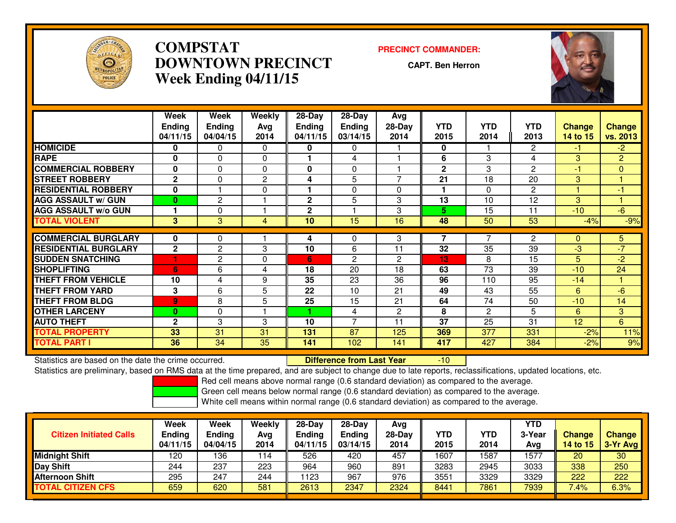

## **COMPSTAT PRECINCT COMMANDER: DOWNTOWN PRECINCTWeek Ending 04/11/15**

**CAPT. Ben Herron**

-10



|                             | Week<br><b>Ending</b><br>04/11/15 | Week<br><b>Ending</b><br>04/04/15 | Weekly<br>Avg<br>2014 | $28-Day$<br><b>Ending</b><br>04/11/15 | $28-Day$<br>Ending<br>03/14/15 | Avg<br>$28-Day$<br>2014 | <b>YTD</b><br>2015 | <b>YTD</b><br>2014 | <b>YTD</b><br>2013 | <b>Change</b><br>14 to 15 | <b>Change</b><br>vs. 2013 |
|-----------------------------|-----------------------------------|-----------------------------------|-----------------------|---------------------------------------|--------------------------------|-------------------------|--------------------|--------------------|--------------------|---------------------------|---------------------------|
| <b>HOMICIDE</b>             | 0                                 | 0                                 | $\Omega$              | 0                                     | 0                              |                         | $\mathbf{0}$       |                    | 2                  | $-1$                      | $-2$                      |
| <b>RAPE</b>                 | O                                 | $\Omega$                          | 0                     |                                       | 4                              |                         | 6                  | 3                  | 4                  | 3                         | $\overline{2}$            |
| <b>COMMERCIAL ROBBERY</b>   | 0                                 | $\mathbf{0}$                      | $\Omega$              | $\mathbf{0}$                          | $\Omega$                       |                         | $\mathbf{2}$       | 3                  | $\overline{2}$     | $-1$                      | $\mathbf{0}$              |
| <b>STREET ROBBERY</b>       | $\mathbf{2}$                      | $\Omega$                          | $\mathbf{2}$          | 4                                     | 5                              | $\overline{7}$          | 21                 | 18                 | 20                 | 3                         |                           |
| <b>RESIDENTIAL ROBBERY</b>  | $\bf{0}$                          |                                   | 0                     |                                       | $\Omega$                       | 0                       |                    | 0                  | $\overline{2}$     |                           | $-1$                      |
| <b>AGG ASSAULT w/ GUN</b>   | $\mathbf{0}$                      | 2                                 |                       | $\mathbf 2$                           | 5                              | 3                       | 13                 | 10                 | 12                 | 3                         |                           |
| <b>AGG ASSAULT w/o GUN</b>  |                                   | 0                                 |                       | $\mathbf 2$                           |                                | 3                       | 5.                 | 15                 | 11                 | $-10$                     | $-6$                      |
| <b>TOTAL VIOLENT</b>        | 3                                 | 3                                 | 4                     | 10                                    | 15                             | 16                      | 48                 | 50                 | 53                 | $-4%$                     | $-9%$                     |
|                             |                                   |                                   |                       |                                       |                                |                         |                    |                    |                    |                           |                           |
| <b>COMMERCIAL BURGLARY</b>  |                                   | 0                                 |                       | 4                                     | $\Omega$                       | 3                       |                    |                    | $\overline{c}$     | 0                         | 5                         |
| <b>RESIDENTIAL BURGLARY</b> | $\mathbf 2$                       | $\overline{c}$                    | 3                     | 10                                    | 6                              | 11                      | 32                 | 35                 | 39                 | $-3$                      | $-7$                      |
| <b>SUDDEN SNATCHING</b>     |                                   | 2                                 | 0                     | 6                                     | $\overline{2}$                 | 2                       | 13                 | 8                  | 15                 | 5                         | $-2$                      |
| <b>SHOPLIFTING</b>          | 6                                 | 6                                 | 4                     | 18                                    | 20                             | 18                      | 63                 | 73                 | 39                 | $-10$                     | 24                        |
| <b>THEFT FROM VEHICLE</b>   | 10                                | 4                                 | 9                     | 35                                    | 23                             | 36                      | 96                 | 110                | 95                 | $-14$                     |                           |
| <b>THEFT FROM YARD</b>      | 3                                 | 6                                 | 5                     | 22                                    | 10                             | 21                      | 49                 | 43                 | 55                 | 6                         | $-6$                      |
| <b>THEFT FROM BLDG</b>      | 9                                 | 8                                 | 5                     | 25                                    | 15                             | 21                      | 64                 | 74                 | 50                 | $-10$                     | 14                        |
| <b>OTHER LARCENY</b>        | $\mathbf{0}$                      | $\Omega$                          |                       | 4                                     | 4                              | $\overline{2}$          | 8                  | $\overline{2}$     | 5                  | 6                         | 3                         |
| <b>AUTO THEFT</b>           | $\mathbf{2}$                      | 3                                 | 3                     | 10                                    | 7                              | 11                      | 37                 | 25                 | 31                 | 12                        | 6                         |
| <b>TOTAL PROPERTY</b>       | 33                                | 31                                | 31                    | 131                                   | 87                             | 125                     | 369                | 377                | 331                | $-2%$                     | 11%                       |
| <b>TOTAL PART I</b>         | 36                                | 34                                | 35                    | 141                                   | 102                            | 141                     | 417                | 427                | 384                | $-2%$                     | 9%                        |

Statistics are based on the date the crime occurred. **Difference from Last Year** 

Statistics are preliminary, based on RMS data at the time prepared, and are subject to change due to late reports, reclassifications, updated locations, etc.

Red cell means above normal range (0.6 standard deviation) as compared to the average.

Green cell means below normal range (0.6 standard deviation) as compared to the average.

| <b>Citizen Initiated Calls</b> | Week<br><b>Ending</b><br>04/11/15 | Week<br><b>Ending</b><br>04/04/15 | Weekly<br>Avg<br>2014 | 28-Day<br><b>Ending</b><br>04/11/15 | $28-Day$<br><b>Ending</b><br>03/14/15 | Avg<br>28-Dav<br>2014 | <b>YTD</b><br>2015 | YTD<br>2014 | YTD<br>3-Year<br>Avg | <b>Change</b><br><b>14 to 15</b> | <b>Change</b><br>3-Yr Avg |
|--------------------------------|-----------------------------------|-----------------------------------|-----------------------|-------------------------------------|---------------------------------------|-----------------------|--------------------|-------------|----------------------|----------------------------------|---------------------------|
| <b>Midnight Shift</b>          | 120                               | 136                               | 114                   | 526                                 | 420                                   | 457                   | 1607               | 1587        | 1577                 | 20                               | 30                        |
| Day Shift                      | 244                               | 237                               | 223                   | 964                                 | 960                                   | 891                   | 3283               | 2945        | 3033                 | 338                              | 250                       |
| <b>Afternoon Shift</b>         | 295                               | 247                               | 244                   | 1123                                | 967                                   | 976                   | 3551               | 3329        | 3329                 | 222                              | 222                       |
| TOTAL CITIZEN CFS              | 659                               | 620                               | 581                   | 2613                                | 2347                                  | 2324                  | 8441               | 7861        | 7939                 | $7.4\%$                          | 6.3%                      |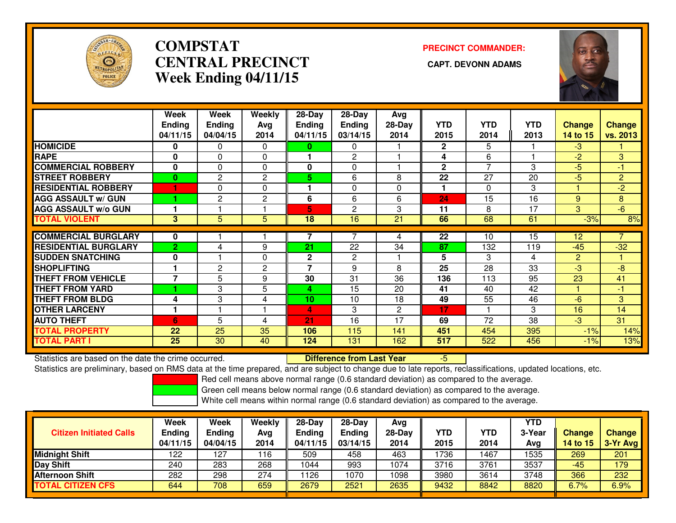

## **COMPSTATCENTRAL PRECINCT Week Ending 04/11/15**

# **PRECINCT COMMANDER:**



|                             | Week           | Week           | Weekly         | 28-Day        | 28-Day         | Avg          |              |            |            |                |                |
|-----------------------------|----------------|----------------|----------------|---------------|----------------|--------------|--------------|------------|------------|----------------|----------------|
|                             | <b>Ending</b>  | <b>Ending</b>  | Avg            | <b>Ending</b> | <b>Ending</b>  | $28-Day$     | <b>YTD</b>   | <b>YTD</b> | <b>YTD</b> | Change         | <b>Change</b>  |
|                             | 04/11/15       | 04/04/15       | 2014           | 04/11/15      | 03/14/15       | 2014         | 2015         | 2014       | 2013       | 14 to 15       | vs. 2013       |
| <b>HOMICIDE</b>             | $\bf{0}$       | 0              | $\Omega$       | 0             | $\Omega$       |              | $\mathbf{2}$ | 5          |            | $-3$           |                |
| <b>RAPE</b>                 | 0              | 0              | $\mathbf 0$    |               | 2              |              | 4            | 6          |            | $-2$           | 3              |
| <b>COMMERCIAL ROBBERY</b>   | $\mathbf{0}$   | $\Omega$       | $\Omega$       | 0             | $\Omega$       |              | $\mathbf{2}$ | 7          | 3          | -5             | -1             |
| <b>STREET ROBBERY</b>       | $\bf{0}$       | $\mathbf{2}$   | $\mathbf{2}$   | 5             | 6              | 8            | 22           | 27         | 20         | -5             | $\overline{2}$ |
| <b>RESIDENTIAL ROBBERY</b>  |                | 0              | $\Omega$       | 1             | $\Omega$       | 0            | 1            | 0          | 3          |                | $-2$           |
| <b>AGG ASSAULT w/ GUN</b>   |                | $\overline{c}$ | $\overline{c}$ | 6             | 6              | 6            | 24           | 15         | 16         | 9              | 8              |
| <b>AGG ASSAULT w/o GUN</b>  |                |                |                | 5             | 2              | 3            | 11           | 8          | 17         | 3              | $-6$           |
| <b>TOTAL VIOLENT</b>        | 3 <sup>1</sup> | 5              | 5              | 18            | 16             | 21           | 66           | 68         | 61         | $-3%$          | 8%             |
|                             |                |                |                |               |                |              |              |            |            |                |                |
| <b>COMMERCIAL BURGLARY</b>  | 0              |                |                |               |                | 4            | 22           | 10         | 15         | 12             |                |
| <b>RESIDENTIAL BURGLARY</b> | $\overline{2}$ | 4              | 9              | 21            | 22             | 34           | 87           | 132        | 119        | $-45$          | $-32$          |
| <b>SUDDEN SNATCHING</b>     | $\bf{0}$       |                | $\Omega$       | $\mathbf 2$   | $\overline{c}$ |              | 5            | 3          | 4          | $\overline{2}$ |                |
| <b>SHOPLIFTING</b>          |                | $\mathbf{2}$   | 2              | 7             | 9              | 8            | 25           | 28         | 33         | -3             | $-8$           |
| <b>THEFT FROM VEHICLE</b>   | 7              | 5              | 9              | 30            | 31             | 36           | 136          | 113        | 95         | 23             | 41             |
| <b>THEFT FROM YARD</b>      |                | 3              | 5              | 4             | 15             | 20           | 41           | 40         | 42         |                | $-1$           |
| <b>THEFT FROM BLDG</b>      | 4              | 3              | 4              | 10            | 10             | 18           | 49           | 55         | 46         | $-6$           | 3              |
| <b>OTHER LARCENY</b>        |                |                |                | 4             | 3              | $\mathbf{2}$ | 17           |            | 3          | 16             | 14             |
| <b>AUTO THEFT</b>           | 6              | 5              | 4              | 21            | 16             | 17           | 69           | 72         | 38         | $-3$           | 31             |
| <b>TOTAL PROPERTY</b>       | 22             | 25             | 35             | 106           | 115            | 141          | 451          | 454        | 395        | $-1%$          | 14%            |
| <b>TOTAL PART I</b>         | 25             | 30             | 40             | 124           | 131            | 162          | 517          | 522        | 456        | $-1\%$         | 13%            |

Statistics are based on the date the crime occurred. **Difference from Last Year** 

Statistics are based on the date the crime occurred. The time prepared, and are subject to change due to late reports, reclassifications, updated locations, etc.<br>Statistics are preliminary, based on RMS data at the time pr

Red cell means above normal range (0.6 standard deviation) as compared to the average.

Green cell means below normal range (0.6 standard deviation) as compared to the average.

| <b>Citizen Initiated Calls</b> | Week<br><b>Ending</b><br>04/11/15 | Week<br>Ending<br>04/04/15 | Weekly<br>Avg<br>2014 | 28-Day<br><b>Ending</b><br>04/11/15 | $28-Dav$<br><b>Ending</b><br>03/14/15 | Ava<br>28-Day<br>2014 | YTD<br>2015 | <b>YTD</b><br>2014 | <b>YTD</b><br>3-Year<br>Avg | <b>Change</b><br>14 to 15 | <b>Change</b><br>$3-Yr$ Avg |
|--------------------------------|-----------------------------------|----------------------------|-----------------------|-------------------------------------|---------------------------------------|-----------------------|-------------|--------------------|-----------------------------|---------------------------|-----------------------------|
| Midnight Shift                 | 122                               | 127                        | 116                   | 509                                 | 458                                   | 463                   | 1736        | 1467               | 1535                        | 269                       | 201                         |
| Day Shift                      | 240                               | 283                        | 268                   | 1044                                | 993                                   | 1074                  | 3716        | 3761               | 3537                        | -45                       | 179                         |
| <b>Afternoon Shift</b>         | 282                               | 298                        | 274                   | 1126                                | 1070                                  | 1098                  | 3980        | 3614               | 3748                        | 366                       | 232                         |
| <b>TOTAL CITIZEN CFS</b>       | 644                               | 708                        | 659                   | 2679                                | 2521                                  | 2635                  | 9432        | 8842               | 8820                        | 6.7%                      | 6.9%                        |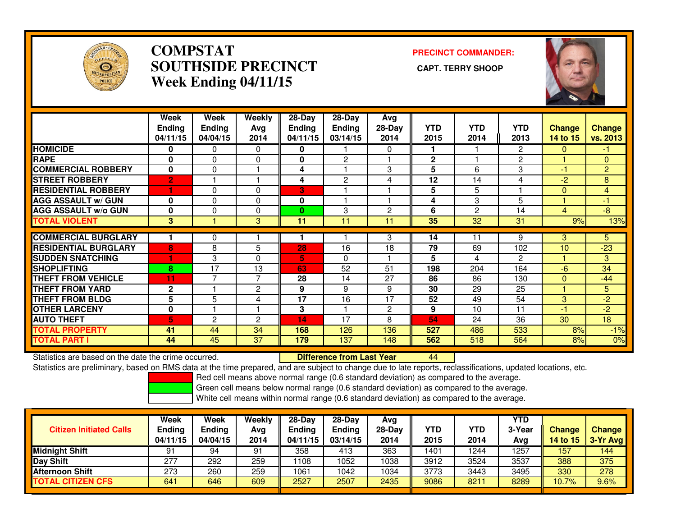

## **COMPSTAT PRECINCT COMMANDER: SOUTHSIDE PRECINCT CAPT. TERRY SHOOPWeek Ending 04/11/15**



|                             | Week<br><b>Ending</b><br>04/11/15 | Week<br><b>Ending</b><br>04/04/15 | Weekly<br>Avg<br>2014 | $28$ -Day<br><b>Ending</b><br>04/11/15 | $28 - Day$<br><b>Ending</b><br>03/14/15 | Avg<br>28-Day<br>2014 | <b>YTD</b><br>2015 | <b>YTD</b><br>2014 | <b>YTD</b><br>2013 | <b>Change</b><br>14 to 15 | <b>Change</b><br>vs. 2013 |
|-----------------------------|-----------------------------------|-----------------------------------|-----------------------|----------------------------------------|-----------------------------------------|-----------------------|--------------------|--------------------|--------------------|---------------------------|---------------------------|
| <b>HOMICIDE</b>             | 0                                 | 0                                 | $\Omega$              | 0                                      |                                         | 0                     | 1.                 |                    | 2                  | $\mathbf{0}$              | -1                        |
| <b>RAPE</b>                 | $\mathbf 0$                       | 0                                 | $\mathbf{0}$          | $\mathbf{0}$                           | $\overline{2}$                          |                       | $\mathbf{2}$       |                    | $\overline{c}$     |                           | $\mathbf{0}$              |
| <b>COMMERCIAL ROBBERY</b>   | $\bf{0}$                          | $\Omega$                          |                       | 4                                      |                                         | 3                     | 5                  | 6                  | 3                  | $-1$                      | $\overline{2}$            |
| <b>STREET ROBBERY</b>       | $\overline{2}$                    |                                   |                       | 4                                      | $\mathbf{c}$                            | 4                     | 12                 | 14                 | 4                  | $-2$                      | 8                         |
| <b>RESIDENTIAL ROBBERY</b>  |                                   | 0                                 | $\Omega$              | 3                                      |                                         |                       | 5                  | 5                  |                    | $\overline{0}$            | 4                         |
| <b>AGG ASSAULT w/ GUN</b>   | $\Omega$                          | $\Omega$                          | $\mathbf{0}$          | 0                                      |                                         |                       | 4                  | 3                  | 5                  |                           | -1                        |
| <b>AGG ASSAULT w/o GUN</b>  | 0                                 | $\Omega$                          | $\mathbf{0}$          | $\bf{0}$                               | 3                                       | $\overline{2}$        | 6                  | 2                  | 14                 | 4                         | $-8$                      |
| <b>TOTAL VIOLENT</b>        | 3                                 |                                   | 3                     | 11                                     | 11                                      | 11                    | 35                 | 32                 | 31                 | 9%                        | 13%                       |
|                             |                                   |                                   |                       |                                        |                                         |                       |                    |                    |                    |                           |                           |
| <b>COMMERCIAL BURGLARY</b>  |                                   | 0                                 |                       |                                        |                                         | 3                     | 14                 | 11                 | 9                  | 3                         | 5                         |
| <b>RESIDENTIAL BURGLARY</b> | 8                                 | 8                                 | 5                     | 28                                     | 16                                      | 18                    | 79                 | 69                 | 102                | 10                        | $-23$                     |
| <b>SUDDEN SNATCHING</b>     |                                   | 3                                 | $\Omega$              | 5                                      | $\Omega$                                |                       | 5                  | 4                  | $\overline{2}$     |                           | 3                         |
| <b>SHOPLIFTING</b>          | 8                                 | 17                                | 13                    | 63                                     | 52                                      | 51                    | 198                | 204                | 164                | $-6$                      | 34                        |
| <b>THEFT FROM VEHICLE</b>   | 11                                | 7                                 | $\overline{7}$        | 28                                     | 14                                      | 27                    | 86                 | 86                 | 130                | $\Omega$                  | $-44$                     |
| <b>THEFT FROM YARD</b>      | $\mathbf{2}$                      |                                   | 2                     | 9                                      | 9                                       | 9                     | 30                 | 29                 | 25                 |                           | 5                         |
| <b>THEFT FROM BLDG</b>      | 5                                 | 5                                 | 4                     | 17                                     | 16                                      | 17                    | 52                 | 49                 | 54                 | 3                         | $-2$                      |
| <b>OTHER LARCENY</b>        | 0                                 |                                   |                       | 3                                      |                                         | $\overline{2}$        | 9                  | 10                 | 11                 | $-1$                      | $-2$                      |
| <b>AUTO THEFT</b>           | 5.                                | $\overline{c}$                    | 2                     | 14                                     | 17                                      | 8                     | 54                 | 24                 | 36                 | 30                        | 18                        |
| <b>TOTAL PROPERTY</b>       | 41                                | 44                                | 34                    | 168                                    | 126                                     | 136                   | 527                | 486                | 533                | 8%                        | $-1%$                     |
| <b>TOTAL PART I</b>         | 44                                | 45                                | 37                    | 179                                    | 137                                     | 148                   | 562                | 518                | 564                | 8%                        | 0%                        |

Statistics are based on the date the crime occurred. **Difference from Last Year** 

Statistics are based on the date the crime occurred. **Externee the Lub of Lifterence from Last Year Mated Act L**<br>Statistics are preliminary, based on RMS data at the time prepared, and are subject to change due to late rep

Red cell means above normal range (0.6 standard deviation) as compared to the average.

Green cell means below normal range (0.6 standard deviation) as compared to the average.

| <b>Citizen Initiated Calls</b> | Week<br><b>Ending</b><br>04/11/15 | <b>Week</b><br>Ending<br>04/04/15 | Weekly<br>Avg<br>2014 | $28-Day$<br>Ending<br>04/11/15 | $28$ -Dav<br><b>Ending</b><br>03/14/15 | Ava<br>$28-Day$<br>2014 | YTD<br>2015 | YTD<br>2014 | YTD<br>3-Year<br>Avg | <b>Change</b><br>14 to 15 | <b>Change</b><br>3-Yr Avg |
|--------------------------------|-----------------------------------|-----------------------------------|-----------------------|--------------------------------|----------------------------------------|-------------------------|-------------|-------------|----------------------|---------------------------|---------------------------|
| <b>Midnight Shift</b>          | 91                                | 94                                | 91                    | 358                            | 413                                    | 363                     | 1401        | 1244        | 1257                 | 157                       | 144                       |
| Day Shift                      | 277                               | 292                               | 259                   | 1108                           | 1052                                   | 1038                    | 3912        | 3524        | 3537                 | 388                       | 375                       |
| <b>Afternoon Shift</b>         | 273                               | 260                               | 259                   | 1061                           | 1042                                   | 1034                    | 3773        | 3443        | 3495                 | 330                       | 278                       |
| <b>TOTAL CITIZEN CFS</b>       | 641                               | 646                               | 609                   | 2527                           | 2507                                   | 2435                    | 9086        | 8211        | 8289                 | 10.7%                     | 9.6%                      |